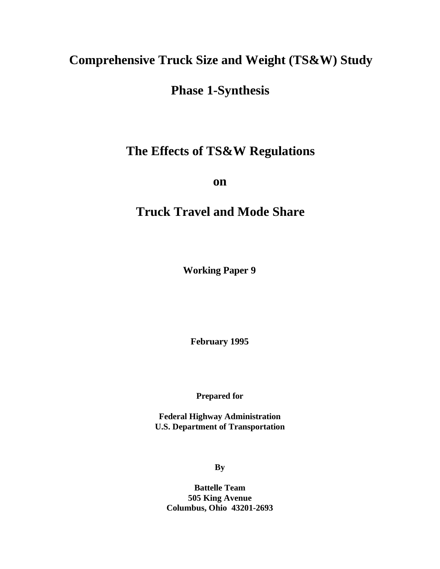# **Comprehensive Truck Size and Weight (TS&W) Study**

# **Phase 1-Synthesis**

# **The Effects of TS&W Regulations**

**on**

# **Truck Travel and Mode Share**

**Working Paper 9**

**February 1995**

**Prepared for**

**Federal Highway Administration U.S. Department of Transportation**

**By**

**Battelle Team 505 King Avenue Columbus, Ohio 43201-2693**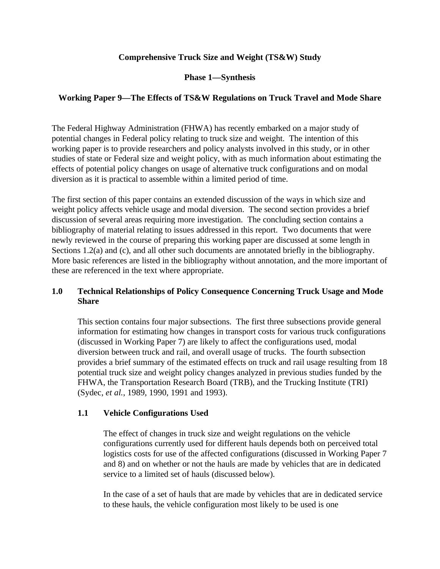# **Comprehensive Truck Size and Weight (TS&W) Study**

# **Phase 1—Synthesis**

# **Working Paper 9—The Effects of TS&W Regulations on Truck Travel and Mode Share**

The Federal Highway Administration (FHWA) has recently embarked on a major study of potential changes in Federal policy relating to truck size and weight. The intention of this working paper is to provide researchers and policy analysts involved in this study, or in other studies of state or Federal size and weight policy, with as much information about estimating the effects of potential policy changes on usage of alternative truck configurations and on modal diversion as it is practical to assemble within a limited period of time.

The first section of this paper contains an extended discussion of the ways in which size and weight policy affects vehicle usage and modal diversion. The second section provides a brief discussion of several areas requiring more investigation. The concluding section contains a bibliography of material relating to issues addressed in this report. Two documents that were newly reviewed in the course of preparing this working paper are discussed at some length in Sections 1.2(a) and (c), and all other such documents are annotated briefly in the bibliography. More basic references are listed in the bibliography without annotation, and the more important of these are referenced in the text where appropriate.

# **1.0 Technical Relationships of Policy Consequence Concerning Truck Usage and Mode Share**

This section contains four major subsections. The first three subsections provide general information for estimating how changes in transport costs for various truck configurations (discussed in Working Paper 7) are likely to affect the configurations used, modal diversion between truck and rail, and overall usage of trucks. The fourth subsection provides a brief summary of the estimated effects on truck and rail usage resulting from 18 potential truck size and weight policy changes analyzed in previous studies funded by the FHWA, the Transportation Research Board (TRB), and the Trucking Institute (TRI) (Sydec, *et al.*, 1989, 1990, 1991 and 1993).

# **1.1 Vehicle Configurations Used**

The effect of changes in truck size and weight regulations on the vehicle configurations currently used for different hauls depends both on perceived total logistics costs for use of the affected configurations (discussed in Working Paper 7 and 8) and on whether or not the hauls are made by vehicles that are in dedicated service to a limited set of hauls (discussed below).

In the case of a set of hauls that are made by vehicles that are in dedicated service to these hauls, the vehicle configuration most likely to be used is one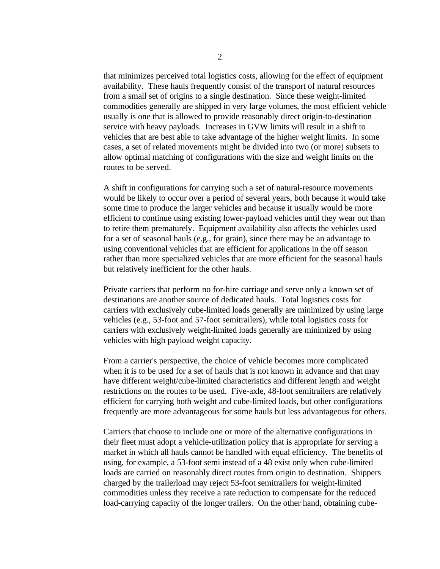that minimizes perceived total logistics costs, allowing for the effect of equipment availability. These hauls frequently consist of the transport of natural resources from a small set of origins to a single destination. Since these weight-limited commodities generally are shipped in very large volumes, the most efficient vehicle usually is one that is allowed to provide reasonably direct origin-to-destination service with heavy payloads. Increases in GVW limits will result in a shift to vehicles that are best able to take advantage of the higher weight limits. In some cases, a set of related movements might be divided into two (or more) subsets to allow optimal matching of configurations with the size and weight limits on the routes to be served.

A shift in configurations for carrying such a set of natural-resource movements would be likely to occur over a period of several years, both because it would take some time to produce the larger vehicles and because it usually would be more efficient to continue using existing lower-payload vehicles until they wear out than to retire them prematurely. Equipment availability also affects the vehicles used for a set of seasonal hauls (e.g., for grain), since there may be an advantage to using conventional vehicles that are efficient for applications in the off season rather than more specialized vehicles that are more efficient for the seasonal hauls but relatively inefficient for the other hauls.

Private carriers that perform no for-hire carriage and serve only a known set of destinations are another source of dedicated hauls. Total logistics costs for carriers with exclusively cube-limited loads generally are minimized by using large vehicles (e.g., 53-foot and 57-foot semitrailers), while total logistics costs for carriers with exclusively weight-limited loads generally are minimized by using vehicles with high payload weight capacity.

From a carrier's perspective, the choice of vehicle becomes more complicated when it is to be used for a set of hauls that is not known in advance and that may have different weight/cube-limited characteristics and different length and weight restrictions on the routes to be used. Five-axle, 48-foot semitrailers are relatively efficient for carrying both weight and cube-limited loads, but other configurations frequently are more advantageous for some hauls but less advantageous for others.

Carriers that choose to include one or more of the alternative configurations in their fleet must adopt a vehicle-utilization policy that is appropriate for serving a market in which all hauls cannot be handled with equal efficiency. The benefits of using, for example, a 53-foot semi instead of a 48 exist only when cube-limited loads are carried on reasonably direct routes from origin to destination. Shippers charged by the trailerload may reject 53-foot semitrailers for weight-limited commodities unless they receive a rate reduction to compensate for the reduced load-carrying capacity of the longer trailers. On the other hand, obtaining cube-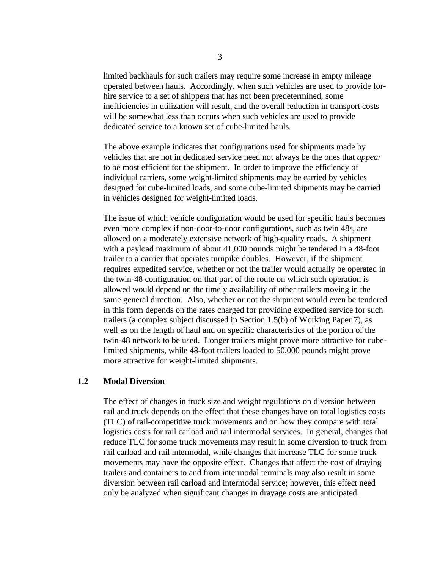limited backhauls for such trailers may require some increase in empty mileage operated between hauls. Accordingly, when such vehicles are used to provide forhire service to a set of shippers that has not been predetermined, some inefficiencies in utilization will result, and the overall reduction in transport costs will be somewhat less than occurs when such vehicles are used to provide dedicated service to a known set of cube-limited hauls.

The above example indicates that configurations used for shipments made by vehicles that are not in dedicated service need not always be the ones that *appear* to be most efficient for the shipment. In order to improve the efficiency of individual carriers, some weight-limited shipments may be carried by vehicles designed for cube-limited loads, and some cube-limited shipments may be carried in vehicles designed for weight-limited loads.

The issue of which vehicle configuration would be used for specific hauls becomes even more complex if non-door-to-door configurations, such as twin 48s, are allowed on a moderately extensive network of high-quality roads. A shipment with a payload maximum of about 41,000 pounds might be tendered in a 48-foot trailer to a carrier that operates turnpike doubles. However, if the shipment requires expedited service, whether or not the trailer would actually be operated in the twin-48 configuration on that part of the route on which such operation is allowed would depend on the timely availability of other trailers moving in the same general direction. Also, whether or not the shipment would even be tendered in this form depends on the rates charged for providing expedited service for such trailers (a complex subject discussed in Section 1.5(b) of Working Paper 7), as well as on the length of haul and on specific characteristics of the portion of the twin-48 network to be used. Longer trailers might prove more attractive for cubelimited shipments, while 48-foot trailers loaded to 50,000 pounds might prove more attractive for weight-limited shipments.

#### **1.2 Modal Diversion**

The effect of changes in truck size and weight regulations on diversion between rail and truck depends on the effect that these changes have on total logistics costs (TLC) of rail-competitive truck movements and on how they compare with total logistics costs for rail carload and rail intermodal services. In general, changes that reduce TLC for some truck movements may result in some diversion to truck from rail carload and rail intermodal, while changes that increase TLC for some truck movements may have the opposite effect. Changes that affect the cost of draying trailers and containers to and from intermodal terminals may also result in some diversion between rail carload and intermodal service; however, this effect need only be analyzed when significant changes in drayage costs are anticipated.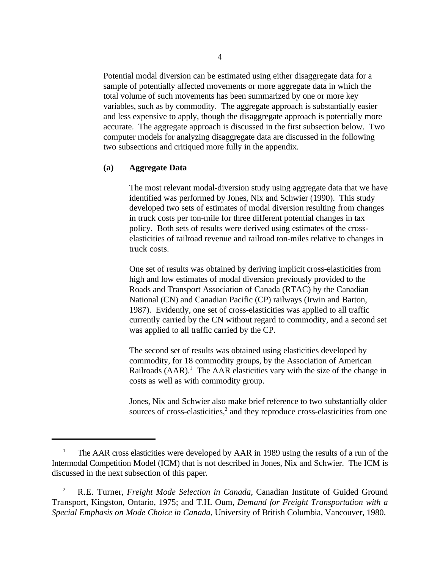Potential modal diversion can be estimated using either disaggregate data for a sample of potentially affected movements or more aggregate data in which the total volume of such movements has been summarized by one or more key variables, such as by commodity. The aggregate approach is substantially easier and less expensive to apply, though the disaggregate approach is potentially more accurate. The aggregate approach is discussed in the first subsection below. Two computer models for analyzing disaggregate data are discussed in the following two subsections and critiqued more fully in the appendix.

#### **(a) Aggregate Data**

The most relevant modal-diversion study using aggregate data that we have identified was performed by Jones, Nix and Schwier (1990). This study developed two sets of estimates of modal diversion resulting from changes in truck costs per ton-mile for three different potential changes in tax policy. Both sets of results were derived using estimates of the crosselasticities of railroad revenue and railroad ton-miles relative to changes in truck costs.

One set of results was obtained by deriving implicit cross-elasticities from high and low estimates of modal diversion previously provided to the Roads and Transport Association of Canada (RTAC) by the Canadian National (CN) and Canadian Pacific (CP) railways (Irwin and Barton, 1987). Evidently, one set of cross-elasticities was applied to all traffic currently carried by the CN without regard to commodity, and a second set was applied to all traffic carried by the CP.

The second set of results was obtained using elasticities developed by commodity, for 18 commodity groups, by the Association of American Railroads  $(AAR)$ <sup>1</sup>. The AAR elasticities vary with the size of the change in costs as well as with commodity group.

Jones, Nix and Schwier also make brief reference to two substantially older sources of cross-elasticities, $\frac{2}{3}$  and they reproduce cross-elasticities from one

<sup>&</sup>lt;sup>1</sup> The AAR cross elasticities were developed by AAR in 1989 using the results of a run of the Intermodal Competition Model (ICM) that is not described in Jones, Nix and Schwier. The ICM is discussed in the next subsection of this paper.

R.E. Turner, *Freight Mode Selection in Canada*, Canadian Institute of Guided Ground 2 Transport, Kingston, Ontario, 1975; and T.H. Oum, *Demand for Freight Transportation with a Special Emphasis on Mode Choice in Canada*, University of British Columbia, Vancouver, 1980.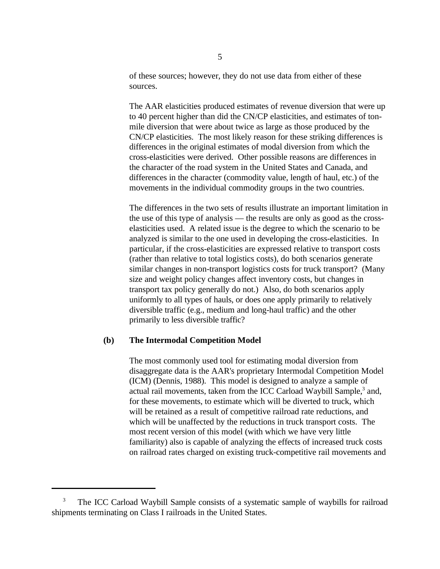of these sources; however, they do not use data from either of these sources.

The AAR elasticities produced estimates of revenue diversion that were up to 40 percent higher than did the CN/CP elasticities, and estimates of tonmile diversion that were about twice as large as those produced by the CN/CP elasticities. The most likely reason for these striking differences is differences in the original estimates of modal diversion from which the cross-elasticities were derived. Other possible reasons are differences in the character of the road system in the United States and Canada, and differences in the character (commodity value, length of haul, etc.) of the movements in the individual commodity groups in the two countries.

The differences in the two sets of results illustrate an important limitation in the use of this type of analysis — the results are only as good as the crosselasticities used. A related issue is the degree to which the scenario to be analyzed is similar to the one used in developing the cross-elasticities. In particular, if the cross-elasticities are expressed relative to transport costs (rather than relative to total logistics costs), do both scenarios generate similar changes in non-transport logistics costs for truck transport? (Many size and weight policy changes affect inventory costs, but changes in transport tax policy generally do not.) Also, do both scenarios apply uniformly to all types of hauls, or does one apply primarily to relatively diversible traffic (e.g., medium and long-haul traffic) and the other primarily to less diversible traffic?

#### **(b) The Intermodal Competition Model**

The most commonly used tool for estimating modal diversion from disaggregate data is the AAR's proprietary Intermodal Competition Model (ICM) (Dennis, 1988). This model is designed to analyze a sample of actual rail movements, taken from the ICC Carload Waybill Sample,<sup>3</sup> and, for these movements, to estimate which will be diverted to truck, which will be retained as a result of competitive railroad rate reductions, and which will be unaffected by the reductions in truck transport costs. The most recent version of this model (with which we have very little familiarity) also is capable of analyzing the effects of increased truck costs on railroad rates charged on existing truck-competitive rail movements and

The ICC Carload Waybill Sample consists of a systematic sample of waybills for railroad 3 shipments terminating on Class I railroads in the United States.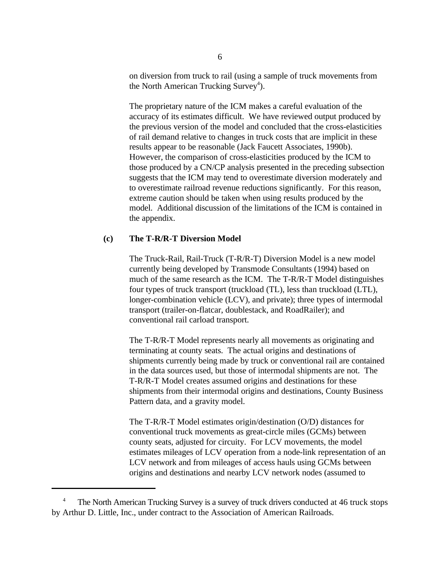on diversion from truck to rail (using a sample of truck movements from the North American Trucking Survey<sup>4</sup>).

The proprietary nature of the ICM makes a careful evaluation of the accuracy of its estimates difficult. We have reviewed output produced by the previous version of the model and concluded that the cross-elasticities of rail demand relative to changes in truck costs that are implicit in these results appear to be reasonable (Jack Faucett Associates, 1990b). However, the comparison of cross-elasticities produced by the ICM to those produced by a CN/CP analysis presented in the preceding subsection suggests that the ICM may tend to overestimate diversion moderately and to overestimate railroad revenue reductions significantly. For this reason, extreme caution should be taken when using results produced by the model. Additional discussion of the limitations of the ICM is contained in the appendix.

#### **(c) The T-R/R-T Diversion Model**

The Truck-Rail, Rail-Truck (T-R/R-T) Diversion Model is a new model currently being developed by Transmode Consultants (1994) based on much of the same research as the ICM. The T-R/R-T Model distinguishes four types of truck transport (truckload (TL), less than truckload (LTL), longer-combination vehicle (LCV), and private); three types of intermodal transport (trailer-on-flatcar, doublestack, and RoadRailer); and conventional rail carload transport.

The T-R/R-T Model represents nearly all movements as originating and terminating at county seats. The actual origins and destinations of shipments currently being made by truck or conventional rail are contained in the data sources used, but those of intermodal shipments are not. The T-R/R-T Model creates assumed origins and destinations for these shipments from their intermodal origins and destinations, County Business Pattern data, and a gravity model.

The T-R/R-T Model estimates origin/destination (O/D) distances for conventional truck movements as great-circle miles (GCMs) between county seats, adjusted for circuity. For LCV movements, the model estimates mileages of LCV operation from a node-link representation of an LCV network and from mileages of access hauls using GCMs between origins and destinations and nearby LCV network nodes (assumed to

The North American Trucking Survey is a survey of truck drivers conducted at 46 truck stops by Arthur D. Little, Inc., under contract to the Association of American Railroads.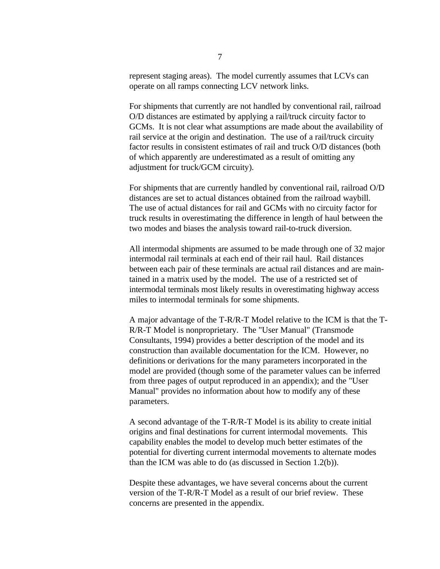represent staging areas). The model currently assumes that LCVs can operate on all ramps connecting LCV network links.

For shipments that currently are not handled by conventional rail, railroad O/D distances are estimated by applying a rail/truck circuity factor to GCMs. It is not clear what assumptions are made about the availability of rail service at the origin and destination. The use of a rail/truck circuity factor results in consistent estimates of rail and truck O/D distances (both of which apparently are underestimated as a result of omitting any adjustment for truck/GCM circuity).

For shipments that are currently handled by conventional rail, railroad O/D distances are set to actual distances obtained from the railroad waybill. The use of actual distances for rail and GCMs with no circuity factor for truck results in overestimating the difference in length of haul between the two modes and biases the analysis toward rail-to-truck diversion.

All intermodal shipments are assumed to be made through one of 32 major intermodal rail terminals at each end of their rail haul. Rail distances between each pair of these terminals are actual rail distances and are maintained in a matrix used by the model. The use of a restricted set of intermodal terminals most likely results in overestimating highway access miles to intermodal terminals for some shipments.

A major advantage of the T-R/R-T Model relative to the ICM is that the T-R/R-T Model is nonproprietary. The "User Manual" (Transmode Consultants, 1994) provides a better description of the model and its construction than available documentation for the ICM. However, no definitions or derivations for the many parameters incorporated in the model are provided (though some of the parameter values can be inferred from three pages of output reproduced in an appendix); and the "User Manual" provides no information about how to modify any of these parameters.

A second advantage of the T-R/R-T Model is its ability to create initial origins and final destinations for current intermodal movements. This capability enables the model to develop much better estimates of the potential for diverting current intermodal movements to alternate modes than the ICM was able to do (as discussed in Section 1.2(b)).

Despite these advantages, we have several concerns about the current version of the T-R/R-T Model as a result of our brief review. These concerns are presented in the appendix.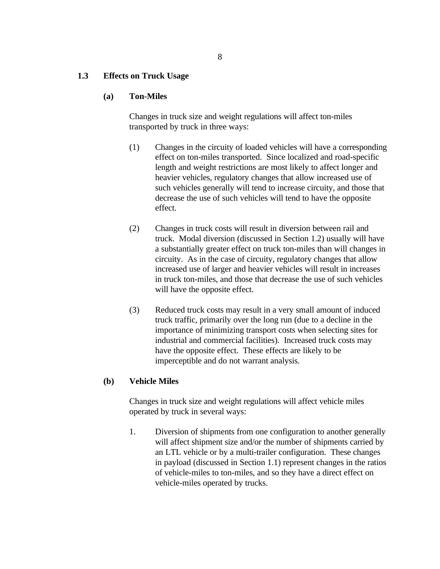#### **1.3 Effects on Truck Usage**

#### **(a) Ton-Miles**

Changes in truck size and weight regulations will affect ton-miles transported by truck in three ways:

- (1) Changes in the circuity of loaded vehicles will have a corresponding effect on ton-miles transported. Since localized and road-specific length and weight restrictions are most likely to affect longer and heavier vehicles, regulatory changes that allow increased use of such vehicles generally will tend to increase circuity, and those that decrease the use of such vehicles will tend to have the opposite effect.
- (2) Changes in truck costs will result in diversion between rail and truck. Modal diversion (discussed in Section 1.2) usually will have a substantially greater effect on truck ton-miles than will changes in circuity. As in the case of circuity, regulatory changes that allow increased use of larger and heavier vehicles will result in increases in truck ton-miles, and those that decrease the use of such vehicles will have the opposite effect.
- (3) Reduced truck costs may result in a very small amount of induced truck traffic, primarily over the long run (due to a decline in the importance of minimizing transport costs when selecting sites for industrial and commercial facilities). Increased truck costs may have the opposite effect. These effects are likely to be imperceptible and do not warrant analysis.

#### **(b) Vehicle Miles**

Changes in truck size and weight regulations will affect vehicle miles operated by truck in several ways:

1. Diversion of shipments from one configuration to another generally will affect shipment size and/or the number of shipments carried by an LTL vehicle or by a multi-trailer configuration. These changes in payload (discussed in Section 1.1) represent changes in the ratios of vehicle-miles to ton-miles, and so they have a direct effect on vehicle-miles operated by trucks.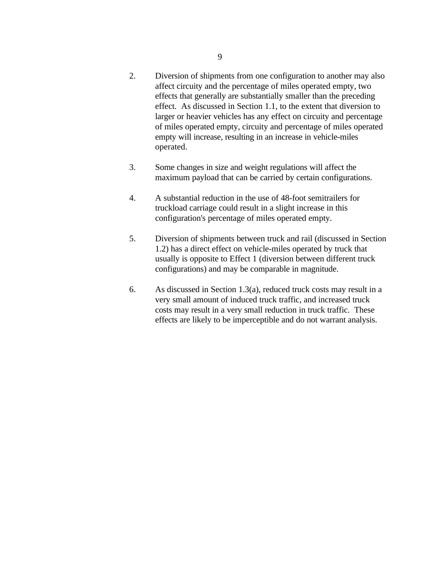- 2. Diversion of shipments from one configuration to another may also affect circuity and the percentage of miles operated empty, two effects that generally are substantially smaller than the preceding effect. As discussed in Section 1.1, to the extent that diversion to larger or heavier vehicles has any effect on circuity and percentage of miles operated empty, circuity and percentage of miles operated empty will increase, resulting in an increase in vehicle-miles operated.
- 3. Some changes in size and weight regulations will affect the maximum payload that can be carried by certain configurations.
- 4. A substantial reduction in the use of 48-foot semitrailers for truckload carriage could result in a slight increase in this configuration's percentage of miles operated empty.
- 5. Diversion of shipments between truck and rail (discussed in Section 1.2) has a direct effect on vehicle-miles operated by truck that usually is opposite to Effect 1 (diversion between different truck configurations) and may be comparable in magnitude.
- 6. As discussed in Section 1.3(a), reduced truck costs may result in a very small amount of induced truck traffic, and increased truck costs may result in a very small reduction in truck traffic. These effects are likely to be imperceptible and do not warrant analysis.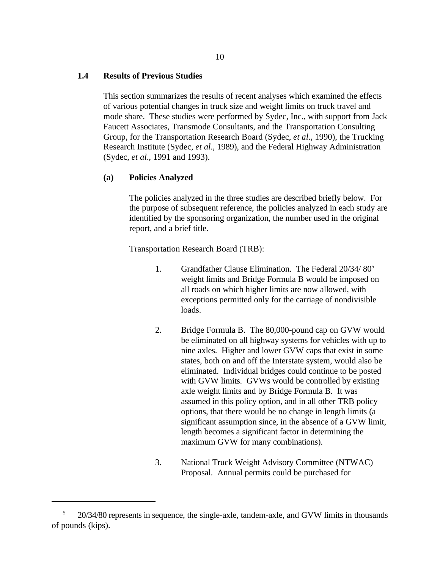#### **1.4 Results of Previous Studies**

This section summarizes the results of recent analyses which examined the effects of various potential changes in truck size and weight limits on truck travel and mode share. These studies were performed by Sydec, Inc., with support from Jack Faucett Associates, Transmode Consultants, and the Transportation Consulting Group, for the Transportation Research Board (Sydec, *et al*., 1990), the Trucking Research Institute (Sydec, *et al*., 1989), and the Federal Highway Administration (Sydec, *et al*., 1991 and 1993).

#### **(a) Policies Analyzed**

The policies analyzed in the three studies are described briefly below. For the purpose of subsequent reference, the policies analyzed in each study are identified by the sponsoring organization, the number used in the original report, and a brief title.

Transportation Research Board (TRB):

- 1. Grandfather Clause Elimination. The Federal 20/34/ 80<sup>5</sup> weight limits and Bridge Formula B would be imposed on all roads on which higher limits are now allowed, with exceptions permitted only for the carriage of nondivisible loads.
- 2. Bridge Formula B. The 80,000-pound cap on GVW would be eliminated on all highway systems for vehicles with up to nine axles. Higher and lower GVW caps that exist in some states, both on and off the Interstate system, would also be eliminated. Individual bridges could continue to be posted with GVW limits. GVWs would be controlled by existing axle weight limits and by Bridge Formula B. It was assumed in this policy option, and in all other TRB policy options, that there would be no change in length limits (a significant assumption since, in the absence of a GVW limit, length becomes a significant factor in determining the maximum GVW for many combinations).
- 3. National Truck Weight Advisory Committee (NTWAC) Proposal. Annual permits could be purchased for

 $20/34/80$  represents in sequence, the single-axle, tandem-axle, and GVW limits in thousands of pounds (kips).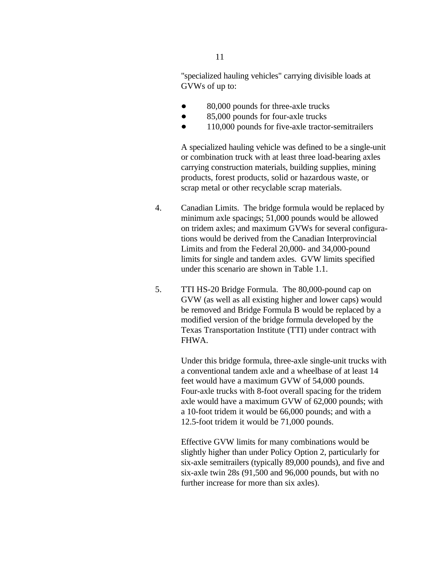"specialized hauling vehicles" carrying divisible loads at GVWs of up to:

- 80,000 pounds for three-axle trucks
- 85,000 pounds for four-axle trucks  $\bullet$
- $\bullet$ 110,000 pounds for five-axle tractor-semitrailers

A specialized hauling vehicle was defined to be a single-unit or combination truck with at least three load-bearing axles carrying construction materials, building supplies, mining products, forest products, solid or hazardous waste, or scrap metal or other recyclable scrap materials.

- 4. Canadian Limits. The bridge formula would be replaced by minimum axle spacings; 51,000 pounds would be allowed on tridem axles; and maximum GVWs for several configurations would be derived from the Canadian Interprovincial Limits and from the Federal 20,000- and 34,000-pound limits for single and tandem axles. GVW limits specified under this scenario are shown in Table 1.1.
- 5. TTI HS-20 Bridge Formula. The 80,000-pound cap on GVW (as well as all existing higher and lower caps) would be removed and Bridge Formula B would be replaced by a modified version of the bridge formula developed by the Texas Transportation Institute (TTI) under contract with FHWA.

Under this bridge formula, three-axle single-unit trucks with a conventional tandem axle and a wheelbase of at least 14 feet would have a maximum GVW of 54,000 pounds. Four-axle trucks with 8-foot overall spacing for the tridem axle would have a maximum GVW of 62,000 pounds; with a 10-foot tridem it would be 66,000 pounds; and with a 12.5-foot tridem it would be 71,000 pounds.

Effective GVW limits for many combinations would be slightly higher than under Policy Option 2, particularly for six-axle semitrailers (typically 89,000 pounds), and five and six-axle twin 28s (91,500 and 96,000 pounds, but with no further increase for more than six axles).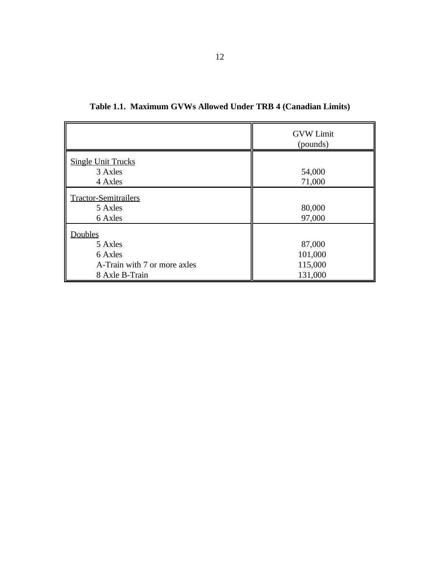|                                                                                 | <b>GVW Limit</b><br>(pounds)            |
|---------------------------------------------------------------------------------|-----------------------------------------|
| <b>Single Unit Trucks</b><br>3 Axles<br>4 Axles                                 | 54,000<br>71,000                        |
| <b>Tractor-Semitrailers</b><br>5 Axles<br>6 Axles                               | 80,000<br>97,000                        |
| Doubles<br>5 Axles<br>6 Axles<br>A-Train with 7 or more axles<br>8 Axle B-Train | 87,000<br>101,000<br>115,000<br>131,000 |

**Table 1.1. Maximum GVWs Allowed Under TRB 4 (Canadian Limits)**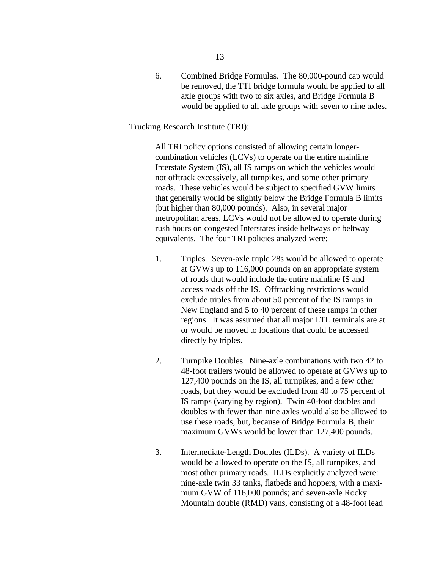6. Combined Bridge Formulas. The 80,000-pound cap would be removed, the TTI bridge formula would be applied to all axle groups with two to six axles, and Bridge Formula B would be applied to all axle groups with seven to nine axles.

#### Trucking Research Institute (TRI):

All TRI policy options consisted of allowing certain longercombination vehicles (LCVs) to operate on the entire mainline Interstate System (IS), all IS ramps on which the vehicles would not offtrack excessively, all turnpikes, and some other primary roads. These vehicles would be subject to specified GVW limits that generally would be slightly below the Bridge Formula B limits (but higher than 80,000 pounds). Also, in several major metropolitan areas, LCVs would not be allowed to operate during rush hours on congested Interstates inside beltways or beltway equivalents. The four TRI policies analyzed were:

- 1. Triples. Seven-axle triple 28s would be allowed to operate at GVWs up to 116,000 pounds on an appropriate system of roads that would include the entire mainline IS and access roads off the IS. Offtracking restrictions would exclude triples from about 50 percent of the IS ramps in New England and 5 to 40 percent of these ramps in other regions. It was assumed that all major LTL terminals are at or would be moved to locations that could be accessed directly by triples.
- 2. Turnpike Doubles. Nine-axle combinations with two 42 to 48-foot trailers would be allowed to operate at GVWs up to 127,400 pounds on the IS, all turnpikes, and a few other roads, but they would be excluded from 40 to 75 percent of IS ramps (varying by region). Twin 40-foot doubles and doubles with fewer than nine axles would also be allowed to use these roads, but, because of Bridge Formula B, their maximum GVWs would be lower than 127,400 pounds.
- 3. Intermediate-Length Doubles (ILDs). A variety of ILDs would be allowed to operate on the IS, all turnpikes, and most other primary roads. ILDs explicitly analyzed were: nine-axle twin 33 tanks, flatbeds and hoppers, with a maximum GVW of 116,000 pounds; and seven-axle Rocky Mountain double (RMD) vans, consisting of a 48-foot lead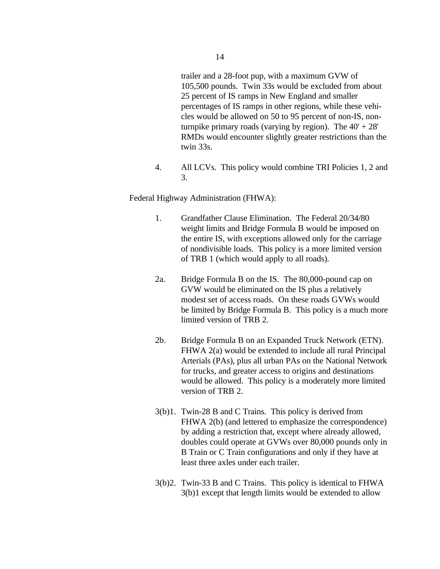trailer and a 28-foot pup, with a maximum GVW of 105,500 pounds. Twin 33s would be excluded from about 25 percent of IS ramps in New England and smaller percentages of IS ramps in other regions, while these vehicles would be allowed on 50 to 95 percent of non-IS, nonturnpike primary roads (varying by region). The  $40' + 28'$ RMDs would encounter slightly greater restrictions than the twin 33s.

4. All LCVs. This policy would combine TRI Policies 1, 2 and 3.

Federal Highway Administration (FHWA):

- 1. Grandfather Clause Elimination. The Federal 20/34/80 weight limits and Bridge Formula B would be imposed on the entire IS, with exceptions allowed only for the carriage of nondivisible loads. This policy is a more limited version of TRB 1 (which would apply to all roads).
- 2a. Bridge Formula B on the IS. The 80,000-pound cap on GVW would be eliminated on the IS plus a relatively modest set of access roads. On these roads GVWs would be limited by Bridge Formula B. This policy is a much more limited version of TRB 2.
- 2b. Bridge Formula B on an Expanded Truck Network (ETN). FHWA 2(a) would be extended to include all rural Principal Arterials (PAs), plus all urban PAs on the National Network for trucks, and greater access to origins and destinations would be allowed. This policy is a moderately more limited version of TRB 2.
- 3(b)1. Twin-28 B and C Trains. This policy is derived from FHWA 2(b) (and lettered to emphasize the correspondence) by adding a restriction that, except where already allowed, doubles could operate at GVWs over 80,000 pounds only in B Train or C Train configurations and only if they have at least three axles under each trailer.
- 3(b)2. Twin-33 B and C Trains. This policy is identical to FHWA 3(b)1 except that length limits would be extended to allow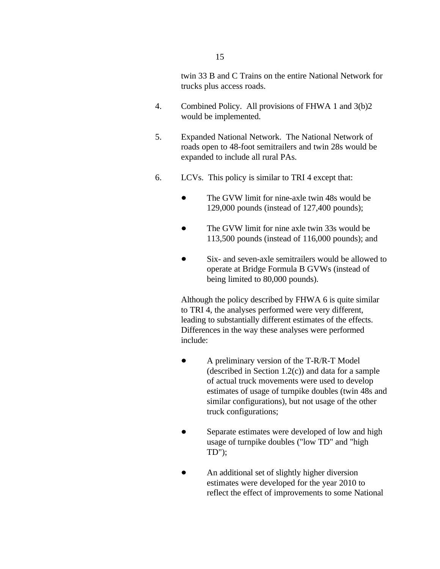twin 33 B and C Trains on the entire National Network for trucks plus access roads.

- 4. Combined Policy. All provisions of FHWA 1 and 3(b)2 would be implemented.
- 5. Expanded National Network. The National Network of roads open to 48-foot semitrailers and twin 28s would be expanded to include all rural PAs.
- 6. LCVs. This policy is similar to TRI 4 except that:
	- The GVW limit for nine-axle twin 48s would be  $\bullet$ 129,000 pounds (instead of 127,400 pounds);
	- $\bullet$ The GVW limit for nine axle twin 33s would be 113,500 pounds (instead of 116,000 pounds); and
	- $\bullet$ Six- and seven-axle semitrailers would be allowed to operate at Bridge Formula B GVWs (instead of being limited to 80,000 pounds).

Although the policy described by FHWA 6 is quite similar to TRI 4, the analyses performed were very different, leading to substantially different estimates of the effects. Differences in the way these analyses were performed include:

- A preliminary version of the T-R/R-T Model  $\bullet$ (described in Section 1.2(c)) and data for a sample of actual truck movements were used to develop estimates of usage of turnpike doubles (twin 48s and similar configurations), but not usage of the other truck configurations;
- $\bullet$ Separate estimates were developed of low and high usage of turnpike doubles ("low TD" and "high TD");
- An additional set of slightly higher diversion estimates were developed for the year 2010 to reflect the effect of improvements to some National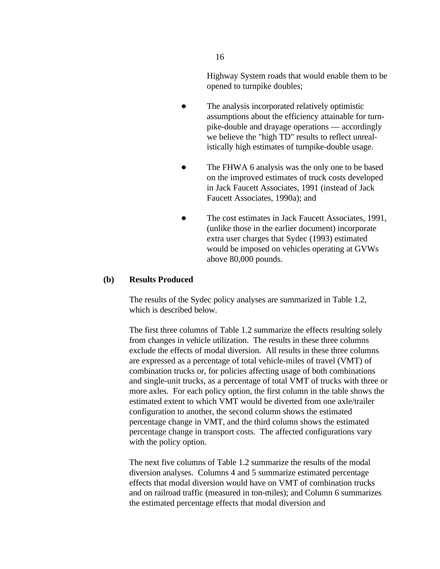Highway System roads that would enable them to be opened to turnpike doubles;

- $\bullet$ The analysis incorporated relatively optimistic assumptions about the efficiency attainable for turnpike-double and drayage operations — accordingly we believe the "high TD" results to reflect unrealistically high estimates of turnpike-double usage.
- $\bullet$ The FHWA 6 analysis was the only one to be based on the improved estimates of truck costs developed in Jack Faucett Associates, 1991 (instead of Jack Faucett Associates, 1990a); and
- The cost estimates in Jack Faucett Associates, 1991,  $\bullet$ (unlike those in the earlier document) incorporate extra user charges that Sydec (1993) estimated would be imposed on vehicles operating at GVWs above 80,000 pounds.

#### **(b) Results Produced**

The results of the Sydec policy analyses are summarized in Table 1.2, which is described below.

The first three columns of Table 1.2 summarize the effects resulting solely from changes in vehicle utilization. The results in these three columns exclude the effects of modal diversion. All results in these three columns are expressed as a percentage of total vehicle-miles of travel (VMT) of combination trucks or, for policies affecting usage of both combinations and single-unit trucks, as a percentage of total VMT of trucks with three or more axles. For each policy option, the first column in the table shows the estimated extent to which VMT would be diverted from one axle/trailer configuration to another, the second column shows the estimated percentage change in VMT, and the third column shows the estimated percentage change in transport costs. The affected configurations vary with the policy option.

The next five columns of Table 1.2 summarize the results of the modal diversion analyses. Columns 4 and 5 summarize estimated percentage effects that modal diversion would have on VMT of combination trucks and on railroad traffic (measured in ton-miles); and Column 6 summarizes the estimated percentage effects that modal diversion and

16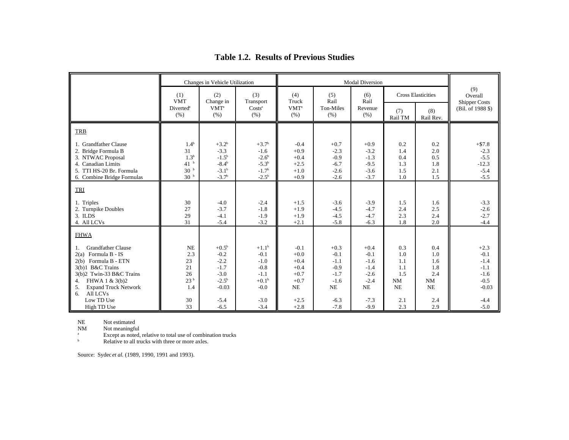|                                                                                                                                                                                                               | Changes in Vehicle Utilization                                                                      |                                                                                 |                                                                           | <b>Modal Diversion</b>                                         |                                                                |                                                                       |                                             |                                             |                                                                     |
|---------------------------------------------------------------------------------------------------------------------------------------------------------------------------------------------------------------|-----------------------------------------------------------------------------------------------------|---------------------------------------------------------------------------------|---------------------------------------------------------------------------|----------------------------------------------------------------|----------------------------------------------------------------|-----------------------------------------------------------------------|---------------------------------------------|---------------------------------------------|---------------------------------------------------------------------|
|                                                                                                                                                                                                               | (1)<br><b>VMT</b>                                                                                   | (2)<br>Change in                                                                | (3)<br>Transport                                                          | (4)<br>Truck                                                   | (5)<br>Rail                                                    | (6)<br>Rail                                                           | <b>Cross Elasticities</b>                   |                                             | (9)<br>Overall<br><b>Shipper Costs</b>                              |
|                                                                                                                                                                                                               | <b>Diverted</b> <sup>a</sup><br>(% )                                                                | <b>VMT</b> <sup>a</sup><br>(% )                                                 | Costs <sup>a</sup><br>(% )                                                | VMT <sup>a</sup><br>(% )                                       | Ton-Miles<br>(% )                                              | Revenue<br>(% )                                                       | (7)<br>Rail TM                              | (8)<br>Rail Rev.                            | (Bil. of 1988 \$)                                                   |
| <b>TRB</b>                                                                                                                                                                                                    |                                                                                                     |                                                                                 |                                                                           |                                                                |                                                                |                                                                       |                                             |                                             |                                                                     |
| 1. Grandfather Clause<br>2. Bridge Formula B<br>3. NTWAC Proposal<br>4. Canadian Limits<br>5. TTI HS-20 Br. Formula<br>6. Combine Bridge Formulas                                                             | 1.4 <sup>b</sup><br>31<br>1.3 <sup>b</sup><br>41 <sup>b</sup><br>30 <sup>b</sup><br>30 <sup>b</sup> | $+3.2^b$<br>$-3.3$<br>$-1.5^{b}$<br>$-8.4^{b}$<br>$-3.1^{b}$<br>$-3.7b$         | $+3.7b$<br>$-1.6$<br>$-2.6^{b}$<br>$-5.3^{b}$<br>$-1.7^{b}$<br>$-2.5^{b}$ | $-0.4$<br>$+0.9$<br>$+0.4$<br>$+2.5$<br>$+1.0$<br>$+0.9$       | $+0.7$<br>$-2.3$<br>$-0.9$<br>$-6.7$<br>$-2.6$<br>$-2.6$       | $+0.9$<br>$-3.2$<br>$-1.3$<br>$-9.5$<br>$-3.6$<br>$-3.7$              | 0.2<br>1.4<br>0.4<br>1.3<br>1.5<br>1.0      | 0.2<br>2.0<br>0.5<br>1.8<br>2.1<br>1.5      | $+ $7.8$<br>$-2.3$<br>$-5.5$<br>$-12.3$<br>$-5.4$<br>$-5.5$         |
| TRI                                                                                                                                                                                                           |                                                                                                     |                                                                                 |                                                                           |                                                                |                                                                |                                                                       |                                             |                                             |                                                                     |
| 1. Triples<br>2. Turnpike Doubles<br>3. ILDS<br>4. All LCVs                                                                                                                                                   | 30<br>27<br>29<br>31                                                                                | $-4.0$<br>$-3.7$<br>$-4.1$<br>$-5.4$                                            | $-2.4$<br>$-1.8$<br>$-1.9$<br>$-3.2$                                      | $+1.5$<br>$+1.9$<br>$+1.9$<br>$+2.1$                           | $-3.6$<br>$-4.5$<br>$-4.5$<br>$-5.8$                           | $-3.9$<br>$-4.7$<br>$-4.7$<br>$-6.3$                                  | 1.5<br>2.4<br>2.3<br>1.8                    | 1.6<br>2.5<br>2.4<br>2.0                    | $-3.3$<br>$-2.6$<br>$-2.7$<br>$-4.4$                                |
| <b>FHWA</b>                                                                                                                                                                                                   |                                                                                                     |                                                                                 |                                                                           |                                                                |                                                                |                                                                       |                                             |                                             |                                                                     |
| <b>Grandfather Clause</b><br>Formula B - IS<br>2(a)<br>Formula B - ETN<br>2(b)<br>3(b)1 B&C Trains<br>3(b)2 Twin-33 B&C Trains<br>FHWA 1 & 3(b)2<br>4.<br><b>Expand Truck Network</b><br>5.<br>All LCVs<br>6. | <b>NE</b><br>2.3<br>23<br>21<br>26<br>23 <sup>b</sup><br>1.4                                        | $+0.5^{\rm b}$<br>$-0.2$<br>$-2.2$<br>$-1.7$<br>$-3.0$<br>$-2.5^{b}$<br>$-0.03$ | $+1.1^{b}$<br>$-0.1$<br>$-1.0$<br>$-0.8$<br>$-1.1$<br>$+0.1b$<br>$-0.0$   | $-0.1$<br>$+0.0$<br>$+0.4$<br>$+0.4$<br>$+0.7$<br>$+0.7$<br>NE | $+0.3$<br>$-0.1$<br>$-1.1$<br>$-0.9$<br>$-1.7$<br>$-1.6$<br>NE | $+0.4$<br>$-0.1$<br>$-1.6$<br>$-1.4$<br>$-2.6$<br>$-2.4$<br><b>NE</b> | 0.3<br>1.0<br>1.1<br>1.1<br>1.5<br>NM<br>NE | 0.4<br>1.0<br>1.6<br>1.8<br>2.4<br>NM<br>NE | $+2.3$<br>$-0.1$<br>$-1.4$<br>$-1.1$<br>$-1.6$<br>$-0.5$<br>$-0.03$ |
| Low TD Use<br>High TD Use                                                                                                                                                                                     | 30<br>33                                                                                            | $-5.4$<br>$-6.5$                                                                | $-3.0$<br>$-3.4$                                                          | $+2.5$<br>$+2.8$                                               | $-6.3$<br>$-7.8$                                               | $-7.3$<br>$-9.9$                                                      | 2.1<br>2.3                                  | 2.4<br>2.9                                  | $-4.4$<br>$-5.0$                                                    |

# **Table 1.2. Results of Previous Studies**

NE Not estimated<br>NM Not meaningfu

 $NM$  Not meaningful<br>a<br>Except as noted

Except as noted, relative to total use of combination trucks

<sup>b</sup> Relative to all trucks with three or more axles.

Source: Sydec *et al.* (1989, 1990, 1991 and 1993).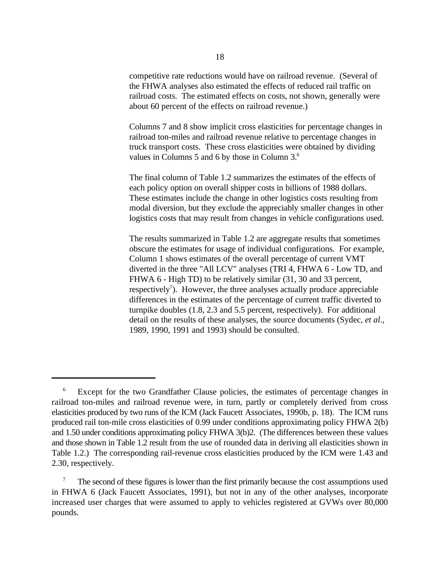competitive rate reductions would have on railroad revenue. (Several of the FHWA analyses also estimated the effects of reduced rail traffic on railroad costs. The estimated effects on costs, not shown, generally were about 60 percent of the effects on railroad revenue.)

Columns 7 and 8 show implicit cross elasticities for percentage changes in railroad ton-miles and railroad revenue relative to percentage changes in truck transport costs. These cross elasticities were obtained by dividing values in Columns 5 and 6 by those in Column 3.<sup>6</sup>

The final column of Table 1.2 summarizes the estimates of the effects of each policy option on overall shipper costs in billions of 1988 dollars. These estimates include the change in other logistics costs resulting from modal diversion, but they exclude the appreciably smaller changes in other logistics costs that may result from changes in vehicle configurations used.

The results summarized in Table 1.2 are aggregate results that sometimes obscure the estimates for usage of individual configurations. For example, Column 1 shows estimates of the overall percentage of current VMT diverted in the three "All LCV" analyses (TRI 4, FHWA 6 - Low TD, and FHWA 6 - High TD) to be relatively similar (31, 30 and 33 percent, respectively<sup>7</sup>). However, the three analyses actually produce appreciable differences in the estimates of the percentage of current traffic diverted to turnpike doubles (1.8, 2.3 and 5.5 percent, respectively). For additional detail on the results of these analyses, the source documents (Sydec, *et al.*, 1989, 1990, 1991 and 1993) should be consulted.

Except for the two Grandfather Clause policies, the estimates of percentage changes in 6 railroad ton-miles and railroad revenue were, in turn, partly or completely derived from cross elasticities produced by two runs of the ICM (Jack Faucett Associates, 1990b, p. 18). The ICM runs produced rail ton-mile cross elasticities of 0.99 under conditions approximating policy FHWA 2(b) and 1.50 under conditions approximating policy FHWA 3(b)2. (The differences between these values and those shown in Table 1.2 result from the use of rounded data in deriving all elasticities shown in Table 1.2.) The corresponding rail-revenue cross elasticities produced by the ICM were 1.43 and 2.30, respectively.

The second of these figures is lower than the first primarily because the cost assumptions used <sup>7</sup> in FHWA 6 (Jack Faucett Associates, 1991), but not in any of the other analyses, incorporate increased user charges that were assumed to apply to vehicles registered at GVWs over 80,000 pounds.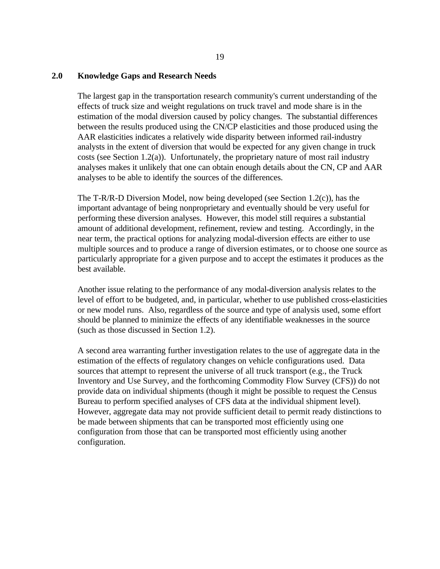#### **2.0 Knowledge Gaps and Research Needs**

The largest gap in the transportation research community's current understanding of the effects of truck size and weight regulations on truck travel and mode share is in the estimation of the modal diversion caused by policy changes. The substantial differences between the results produced using the CN/CP elasticities and those produced using the AAR elasticities indicates a relatively wide disparity between informed rail-industry analysts in the extent of diversion that would be expected for any given change in truck costs (see Section 1.2(a)). Unfortunately, the proprietary nature of most rail industry analyses makes it unlikely that one can obtain enough details about the CN, CP and AAR analyses to be able to identify the sources of the differences.

The T-R/R-D Diversion Model, now being developed (see Section 1.2(c)), has the important advantage of being nonproprietary and eventually should be very useful for performing these diversion analyses. However, this model still requires a substantial amount of additional development, refinement, review and testing. Accordingly, in the near term, the practical options for analyzing modal-diversion effects are either to use multiple sources and to produce a range of diversion estimates, or to choose one source as particularly appropriate for a given purpose and to accept the estimates it produces as the best available.

Another issue relating to the performance of any modal-diversion analysis relates to the level of effort to be budgeted, and, in particular, whether to use published cross-elasticities or new model runs. Also, regardless of the source and type of analysis used, some effort should be planned to minimize the effects of any identifiable weaknesses in the source (such as those discussed in Section 1.2).

A second area warranting further investigation relates to the use of aggregate data in the estimation of the effects of regulatory changes on vehicle configurations used. Data sources that attempt to represent the universe of all truck transport (e.g., the Truck Inventory and Use Survey, and the forthcoming Commodity Flow Survey (CFS)) do not provide data on individual shipments (though it might be possible to request the Census Bureau to perform specified analyses of CFS data at the individual shipment level). However, aggregate data may not provide sufficient detail to permit ready distinctions to be made between shipments that can be transported most efficiently using one configuration from those that can be transported most efficiently using another configuration.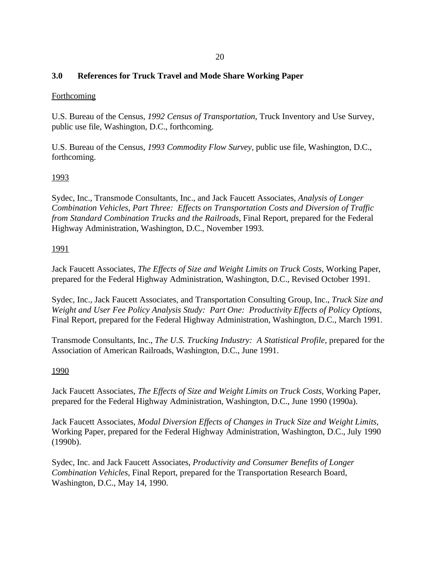## **3.0 References for Truck Travel and Mode Share Working Paper**

## **Forthcoming**

U.S. Bureau of the Census, *1992 Census of Transportation*, Truck Inventory and Use Survey, public use file, Washington, D.C., forthcoming.

U.S. Bureau of the Census, *1993 Commodity Flow Survey*, public use file, Washington, D.C., forthcoming.

## 1993

Sydec, Inc., Transmode Consultants, Inc., and Jack Faucett Associates, *Analysis of Longer Combination Vehicles, Part Three: Effects on Transportation Costs and Diversion of Traffic from Standard Combination Trucks and the Railroads*, Final Report, prepared for the Federal Highway Administration, Washington, D.C., November 1993.

## 1991

Jack Faucett Associates, *The Effects of Size and Weight Limits on Truck Costs*, Working Paper, prepared for the Federal Highway Administration, Washington, D.C., Revised October 1991.

Sydec, Inc., Jack Faucett Associates, and Transportation Consulting Group, Inc., *Truck Size and Weight and User Fee Policy Analysis Study: Part One: Productivity Effects of Policy Options*, Final Report, prepared for the Federal Highway Administration, Washington, D.C., March 1991.

Transmode Consultants, Inc., *The U.S. Trucking Industry: A Statistical Profile*, prepared for the Association of American Railroads, Washington, D.C., June 1991.

#### 1990

Jack Faucett Associates, *The Effects of Size and Weight Limits on Truck Costs*, Working Paper, prepared for the Federal Highway Administration, Washington, D.C., June 1990 (1990a).

Jack Faucett Associates, *Modal Diversion Effects of Changes in Truck Size and Weight Limits*, Working Paper, prepared for the Federal Highway Administration, Washington, D.C., July 1990 (1990b).

Sydec, Inc. and Jack Faucett Associates, *Productivity and Consumer Benefits of Longer Combination Vehicles*, Final Report, prepared for the Transportation Research Board, Washington, D.C., May 14, 1990.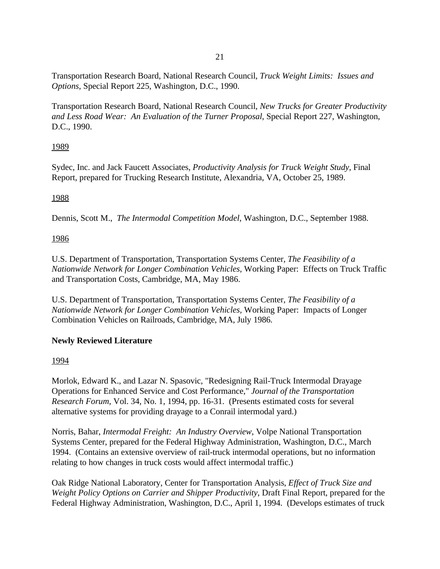Transportation Research Board, National Research Council, *Truck Weight Limits: Issues and Options*, Special Report 225, Washington, D.C., 1990.

Transportation Research Board, National Research Council, *New Trucks for Greater Productivity and Less Road Wear: An Evaluation of the Turner Proposal*, Special Report 227, Washington, D.C., 1990.

# 1989

Sydec, Inc. and Jack Faucett Associates, *Productivity Analysis for Truck Weight Study*, Final Report, prepared for Trucking Research Institute, Alexandria, VA, October 25, 1989.

# 1988

Dennis, Scott M., *The Intermodal Competition Model*, Washington, D.C., September 1988.

# 1986

U.S. Department of Transportation, Transportation Systems Center, *The Feasibility of a Nationwide Network for Longer Combination Vehicles*, Working Paper: Effects on Truck Traffic and Transportation Costs, Cambridge, MA, May 1986.

U.S. Department of Transportation, Transportation Systems Center, *The Feasibility of a Nationwide Network for Longer Combination Vehicles*, Working Paper: Impacts of Longer Combination Vehicles on Railroads, Cambridge, MA, July 1986.

# **Newly Reviewed Literature**

# 1994

Morlok, Edward K., and Lazar N. Spasovic, "Redesigning Rail-Truck Intermodal Drayage Operations for Enhanced Service and Cost Performance," *Journal of the Transportation Research Forum*, Vol. 34, No. 1, 1994, pp. 16-31. (Presents estimated costs for several alternative systems for providing drayage to a Conrail intermodal yard.)

Norris, Bahar, *Intermodal Freight: An Industry Overview*, Volpe National Transportation Systems Center, prepared for the Federal Highway Administration, Washington, D.C., March 1994. (Contains an extensive overview of rail-truck intermodal operations, but no information relating to how changes in truck costs would affect intermodal traffic.)

Oak Ridge National Laboratory, Center for Transportation Analysis, *Effect of Truck Size and Weight Policy Options on Carrier and Shipper Productivity*, Draft Final Report, prepared for the Federal Highway Administration, Washington, D.C., April 1, 1994. (Develops estimates of truck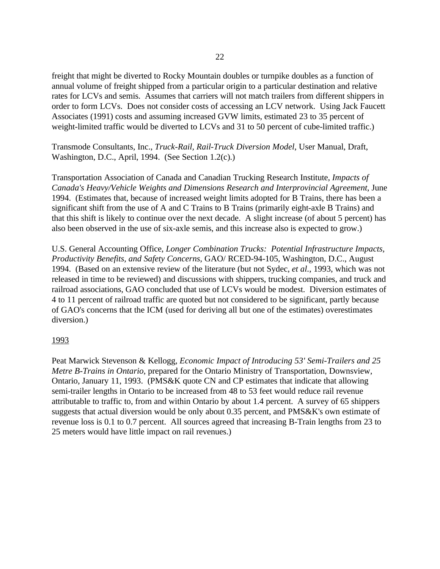freight that might be diverted to Rocky Mountain doubles or turnpike doubles as a function of annual volume of freight shipped from a particular origin to a particular destination and relative rates for LCVs and semis. Assumes that carriers will not match trailers from different shippers in order to form LCVs. Does not consider costs of accessing an LCV network. Using Jack Faucett Associates (1991) costs and assuming increased GVW limits, estimated 23 to 35 percent of weight-limited traffic would be diverted to LCVs and 31 to 50 percent of cube-limited traffic.)

Transmode Consultants, Inc., *Truck-Rail, Rail-Truck Diversion Model*, User Manual, Draft, Washington, D.C., April, 1994. (See Section 1.2(c).)

Transportation Association of Canada and Canadian Trucking Research Institute, *Impacts of Canada's Heavy/Vehicle Weights and Dimensions Research and Interprovincial Agreement*, June 1994. (Estimates that, because of increased weight limits adopted for B Trains, there has been a significant shift from the use of A and C Trains to B Trains (primarily eight-axle B Trains) and that this shift is likely to continue over the next decade. A slight increase (of about 5 percent) has also been observed in the use of six-axle semis, and this increase also is expected to grow.)

U.S. General Accounting Office, *Longer Combination Trucks: Potential Infrastructure Impacts, Productivity Benefits, and Safety Concerns*, GAO/ RCED-94-105, Washington, D.C., August 1994. (Based on an extensive review of the literature (but not Sydec, *et al.*, 1993, which was not released in time to be reviewed) and discussions with shippers, trucking companies, and truck and railroad associations, GAO concluded that use of LCVs would be modest. Diversion estimates of 4 to 11 percent of railroad traffic are quoted but not considered to be significant, partly because of GAO's concerns that the ICM (used for deriving all but one of the estimates) overestimates diversion.)

#### 1993

Peat Marwick Stevenson & Kellogg, *Economic Impact of Introducing 53' Semi-Trailers and 25 Metre B-Trains in Ontario*, prepared for the Ontario Ministry of Transportation, Downsview, Ontario, January 11, 1993. (PMS&K quote CN and CP estimates that indicate that allowing semi-trailer lengths in Ontario to be increased from 48 to 53 feet would reduce rail revenue attributable to traffic to, from and within Ontario by about 1.4 percent. A survey of 65 shippers suggests that actual diversion would be only about 0.35 percent, and PMS&K's own estimate of revenue loss is 0.1 to 0.7 percent. All sources agreed that increasing B-Train lengths from 23 to 25 meters would have little impact on rail revenues.)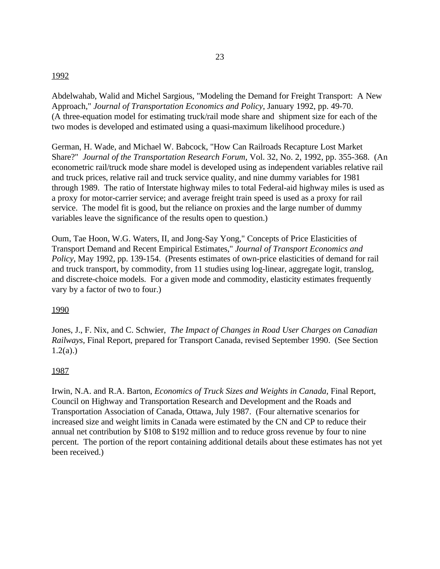#### 1992

Abdelwahab, Walid and Michel Sargious, "Modeling the Demand for Freight Transport: A New Approach," *Journal of Transportation Economics and Policy*, January 1992, pp. 49-70. (A three-equation model for estimating truck/rail mode share and shipment size for each of the two modes is developed and estimated using a quasi-maximum likelihood procedure.)

German, H. Wade, and Michael W. Babcock, "How Can Railroads Recapture Lost Market Share?" *Journal of the Transportation Research Forum*, Vol. 32, No. 2, 1992, pp. 355-368. (An econometric rail/truck mode share model is developed using as independent variables relative rail and truck prices, relative rail and truck service quality, and nine dummy variables for 1981 through 1989. The ratio of Interstate highway miles to total Federal-aid highway miles is used as a proxy for motor-carrier service; and average freight train speed is used as a proxy for rail service. The model fit is good, but the reliance on proxies and the large number of dummy variables leave the significance of the results open to question.)

Oum, Tae Hoon, W.G. Waters, II, and Jong-Say Yong," Concepts of Price Elasticities of Transport Demand and Recent Empirical Estimates," *Journal of Transport Economics and Policy*, May 1992, pp. 139-154. (Presents estimates of own-price elasticities of demand for rail and truck transport, by commodity, from 11 studies using log-linear, aggregate logit, translog, and discrete-choice models. For a given mode and commodity, elasticity estimates frequently vary by a factor of two to four.)

## 1990

Jones, J., F. Nix, and C. Schwier, *The Impact of Changes in Road User Charges on Canadian Railways*, Final Report, prepared for Transport Canada, revised September 1990. (See Section  $1.2(a)$ .)

## 1987

Irwin, N.A. and R.A. Barton, *Economics of Truck Sizes and Weights in Canada*, Final Report, Council on Highway and Transportation Research and Development and the Roads and Transportation Association of Canada, Ottawa, July 1987. (Four alternative scenarios for increased size and weight limits in Canada were estimated by the CN and CP to reduce their annual net contribution by \$108 to \$192 million and to reduce gross revenue by four to nine percent. The portion of the report containing additional details about these estimates has not yet been received.)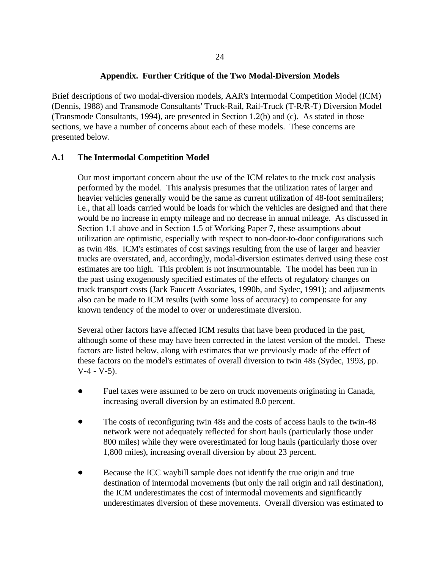### **Appendix. Further Critique of the Two Modal-Diversion Models**

Brief descriptions of two modal-diversion models, AAR's Intermodal Competition Model (ICM) (Dennis, 1988) and Transmode Consultants' Truck-Rail, Rail-Truck (T-R/R-T) Diversion Model (Transmode Consultants, 1994), are presented in Section 1.2(b) and (c). As stated in those sections, we have a number of concerns about each of these models. These concerns are presented below.

## **A.1 The Intermodal Competition Model**

Our most important concern about the use of the ICM relates to the truck cost analysis performed by the model. This analysis presumes that the utilization rates of larger and heavier vehicles generally would be the same as current utilization of 48-foot semitrailers; i.e., that all loads carried would be loads for which the vehicles are designed and that there would be no increase in empty mileage and no decrease in annual mileage. As discussed in Section 1.1 above and in Section 1.5 of Working Paper 7, these assumptions about utilization are optimistic, especially with respect to non-door-to-door configurations such as twin 48s. ICM's estimates of cost savings resulting from the use of larger and heavier trucks are overstated, and, accordingly, modal-diversion estimates derived using these cost estimates are too high. This problem is not insurmountable. The model has been run in the past using exogenously specified estimates of the effects of regulatory changes on truck transport costs (Jack Faucett Associates, 1990b, and Sydec, 1991); and adjustments also can be made to ICM results (with some loss of accuracy) to compensate for any known tendency of the model to over or underestimate diversion.

Several other factors have affected ICM results that have been produced in the past, although some of these may have been corrected in the latest version of the model. These factors are listed below, along with estimates that we previously made of the effect of these factors on the model's estimates of overall diversion to twin 48s (Sydec, 1993, pp.  $V-4 - V-5$ ).

- Fuel taxes were assumed to be zero on truck movements originating in Canada, increasing overall diversion by an estimated 8.0 percent.
- The costs of reconfiguring twin 48s and the costs of access hauls to the twin-48 network were not adequately reflected for short hauls (particularly those under 800 miles) while they were overestimated for long hauls (particularly those over 1,800 miles), increasing overall diversion by about 23 percent.
- Because the ICC waybill sample does not identify the true origin and true destination of intermodal movements (but only the rail origin and rail destination), the ICM underestimates the cost of intermodal movements and significantly underestimates diversion of these movements. Overall diversion was estimated to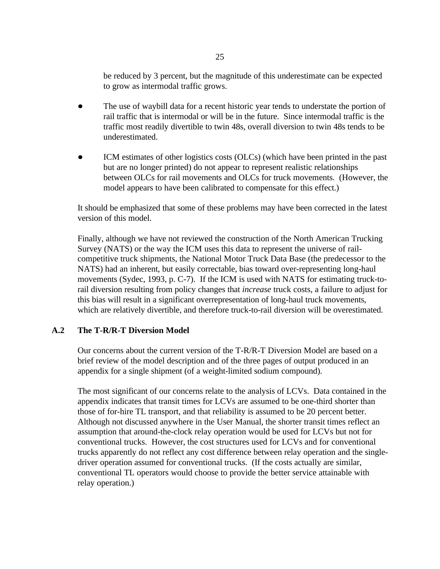be reduced by 3 percent, but the magnitude of this underestimate can be expected to grow as intermodal traffic grows.

- The use of waybill data for a recent historic year tends to understate the portion of rail traffic that is intermodal or will be in the future. Since intermodal traffic is the traffic most readily divertible to twin 48s, overall diversion to twin 48s tends to be underestimated.
- ICM estimates of other logistics costs (OLCs) (which have been printed in the past but are no longer printed) do not appear to represent realistic relationships between OLCs for rail movements and OLCs for truck movements. (However, the model appears to have been calibrated to compensate for this effect.)

It should be emphasized that some of these problems may have been corrected in the latest version of this model.

Finally, although we have not reviewed the construction of the North American Trucking Survey (NATS) or the way the ICM uses this data to represent the universe of railcompetitive truck shipments, the National Motor Truck Data Base (the predecessor to the NATS) had an inherent, but easily correctable, bias toward over-representing long-haul movements (Sydec, 1993, p. C-7). If the ICM is used with NATS for estimating truck-torail diversion resulting from policy changes that *increase* truck costs, a failure to adjust for this bias will result in a significant overrepresentation of long-haul truck movements, which are relatively divertible, and therefore truck-to-rail diversion will be overestimated.

## **A.2 The T-R/R-T Diversion Model**

Our concerns about the current version of the T-R/R-T Diversion Model are based on a brief review of the model description and of the three pages of output produced in an appendix for a single shipment (of a weight-limited sodium compound).

The most significant of our concerns relate to the analysis of LCVs. Data contained in the appendix indicates that transit times for LCVs are assumed to be one-third shorter than those of for-hire TL transport, and that reliability is assumed to be 20 percent better. Although not discussed anywhere in the User Manual, the shorter transit times reflect an assumption that around-the-clock relay operation would be used for LCVs but not for conventional trucks. However, the cost structures used for LCVs and for conventional trucks apparently do not reflect any cost difference between relay operation and the singledriver operation assumed for conventional trucks. (If the costs actually are similar, conventional TL operators would choose to provide the better service attainable with relay operation.)